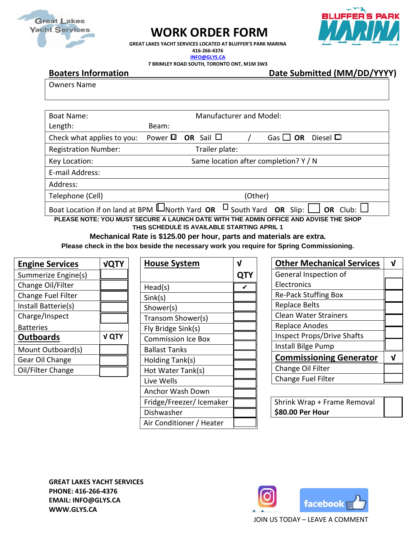

## **WORK ORDER FORM**



**GREAT LAKES YACHT SERVICES LOCATED AT BLUFFER'S PARK MARINA 416-266-4376 [INFO@GLYS.CA](mailto:INFO@GLYS.CA) 7 BRIMLEY ROAD SOUTH, TORONTO ONT, M1M 3W3**

**Boaters Information Date Submitted (MM/DD/YYYY)** 

Owners Name

| <b>Boat Name:</b>                                                                                      | <b>Manufacturer and Model:</b>        |                             |         |               |               |  |
|--------------------------------------------------------------------------------------------------------|---------------------------------------|-----------------------------|---------|---------------|---------------|--|
| Length:                                                                                                | Beam:                                 |                             |         |               |               |  |
| Check what applies to you:                                                                             |                                       | Power $\Box$ OR Sail $\Box$ |         | Gas $\Box$ OR | Diesel $\Box$ |  |
| <b>Registration Number:</b>                                                                            |                                       | Trailer plate:              |         |               |               |  |
| Key Location:                                                                                          | Same location after completion? Y / N |                             |         |               |               |  |
| E-mail Address:                                                                                        |                                       |                             |         |               |               |  |
| Address:                                                                                               |                                       |                             |         |               |               |  |
| Telephone (Cell)                                                                                       |                                       |                             | (Other) |               |               |  |
| Boat Location if on land at BPM $\Box$ North Yard OR $\Box$ South Yard OR Slip: $\Box$ OR Club: $\Box$ |                                       |                             |         |               |               |  |
| PLEASE NOTE: YOU MUST SECURE A LAUNCH DATE WITH THE ADMIN OFFICE AND ADVISE THE SHOP                   |                                       |                             |         |               |               |  |
| THE CONTINUE IS AVAILADLE CTADTING ADDIL 4                                                             |                                       |                             |         |               |               |  |

**THIS SCHEDULE IS AVAILABLE STARTING APRIL 1**

**Mechanical Rate is \$125.00 per hour, parts and materials are extra.**

**Please check in the box beside the necessary work you require for Spring Commissioning.**

| <b>Engine Services</b> | <b>VQTY</b>  |
|------------------------|--------------|
| Summerize Engine(s)    |              |
| Change Oil/Filter      |              |
| Change Fuel Filter     |              |
| Install Batterie(s)    |              |
| Charge/Inspect         |              |
| <b>Batteries</b>       |              |
| <b>Outboards</b>       | <b>V QTY</b> |
| Mount Outboard(s)      |              |
| Gear Oil Change        |              |
| Oil/Filter Change      |              |

| House System              |   |
|---------------------------|---|
|                           | Ő |
| Head(s)                   |   |
| Sink(s)                   |   |
| Shower(s)                 |   |
| Transom Shower(s)         |   |
| Fly Bridge Sink(s)        |   |
| <b>Commission Ice Box</b> |   |
| <b>Ballast Tanks</b>      |   |
| Holding Tank(s)           |   |
| Hot Water Tank(s)         |   |
| Live Wells                |   |
| Anchor Wash Down          |   |
| Fridge/Freezer/ Icemaker  |   |
| Dishwasher                |   |
| Air Conditioner / Heater  |   |

| <b>Other Mechanical Services</b>  |  |
|-----------------------------------|--|
| General Inspection of             |  |
| Electronics                       |  |
| <b>Re-Pack Stuffing Box</b>       |  |
| <b>Replace Belts</b>              |  |
| <b>Clean Water Strainers</b>      |  |
| <b>Replace Anodes</b>             |  |
| <b>Inspect Props/Drive Shafts</b> |  |
| Install Bilge Pump                |  |
| <b>Commissioning Generator</b>    |  |
| Change Oil Filter                 |  |
| Change Fuel Filter                |  |

| Shrink Wrap + Frame Removal |  |
|-----------------------------|--|
| \$80.00 Per Hour            |  |

**GREAT LAKES YACHT SERVICES PHONE: 416-266-4376 EMAIL: INFO@GLYS.CA WWW.GLYS.CA**